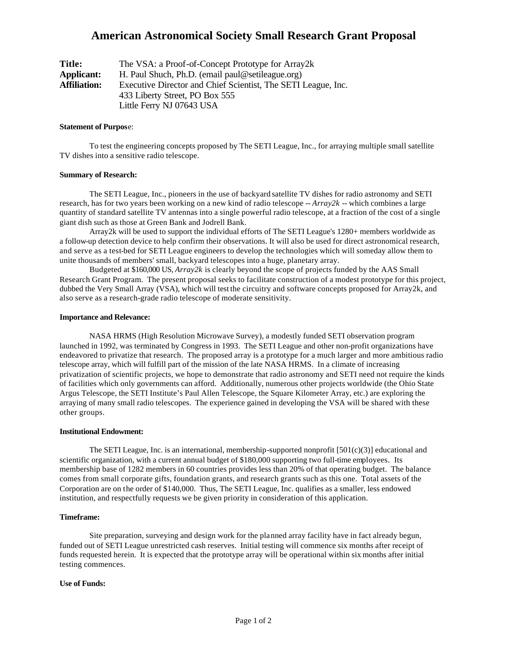# **American Astronomical Society Small Research Grant Proposal**

| Title:              | The VSA: a Proof-of-Concept Prototype for Array2k             |
|---------------------|---------------------------------------------------------------|
| <b>Applicant:</b>   | H. Paul Shuch, Ph.D. (email paul@setileague.org)              |
| <b>Affiliation:</b> | Executive Director and Chief Scientist, The SETI League, Inc. |
|                     | 433 Liberty Street, PO Box 555                                |
|                     | Little Ferry NJ 07643 USA                                     |

## **Statement of Purpos**e:

To test the engineering concepts proposed by The SETI League, Inc., for arraying multiple small satellite TV dishes into a sensitive radio telescope.

## **Summary of Research:**

The SETI League, Inc., pioneers in the use of backyard satellite TV dishes for radio astronomy and SETI research, has for two years been working on a new kind of radio telescope -- *Array2k* -- which combines a large quantity of standard satellite TV antennas into a single powerful radio telescope, at a fraction of the cost of a single giant dish such as those at Green Bank and Jodrell Bank.

Array2k will be used to support the individual efforts of The SETI League's 1280+ members worldwide as a follow-up detection device to help confirm their observations. It will also be used for direct astronomical research, and serve as a test-bed for SETI League engineers to develop the technologies which will someday allow them to unite thousands of members' small, backyard telescopes into a huge, planetary array.

Budgeted at \$160,000 US, *Array2k* is clearly beyond the scope of projects funded by the AAS Small Research Grant Program. The present proposal seeks to facilitate construction of a modest prototype for this project, dubbed the Very Small Array (VSA), which will test the circuitry and software concepts proposed for Array2k, and also serve as a research-grade radio telescope of moderate sensitivity.

### **Importance and Relevance:**

NASA HRMS (High Resolution Microwave Survey), a modestly funded SETI observation program launched in 1992, was terminated by Congress in 1993. The SETI League and other non-profit organizations have endeavored to privatize that research. The proposed array is a prototype for a much larger and more ambitious radio telescope array, which will fulfill part of the mission of the late NASA HRMS. In a climate of increasing privatization of scientific projects, we hope to demonstrate that radio astronomy and SETI need not require the kinds of facilities which only governments can afford. Additionally, numerous other projects worldwide (the Ohio State Argus Telescope, the SETI Institute's Paul Allen Telescope, the Square Kilometer Array, etc.) are exploring the arraying of many small radio telescopes. The experience gained in developing the VSA will be shared with these other groups.

#### **Institutional Endowment:**

The SETI League, Inc. is an international, membership-supported nonprofit [501(c)(3)] educational and scientific organization, with a current annual budget of \$180,000 supporting two full-time employees. Its membership base of 1282 members in 60 countries provides less than 20% of that operating budget. The balance comes from small corporate gifts, foundation grants, and research grants such as this one. Total assets of the Corporation are on the order of \$140,000. Thus, The SETI League, Inc. qualifies as a smaller, less endowed institution, and respectfully requests we be given priority in consideration of this application.

## **Timeframe:**

Site preparation, surveying and design work for the planned array facility have in fact already begun, funded out of SETI League unrestricted cash reserves. Initial testing will commence six months after receipt of funds requested herein. It is expected that the prototype array will be operational within six months after initial testing commences.

## **Use of Funds:**